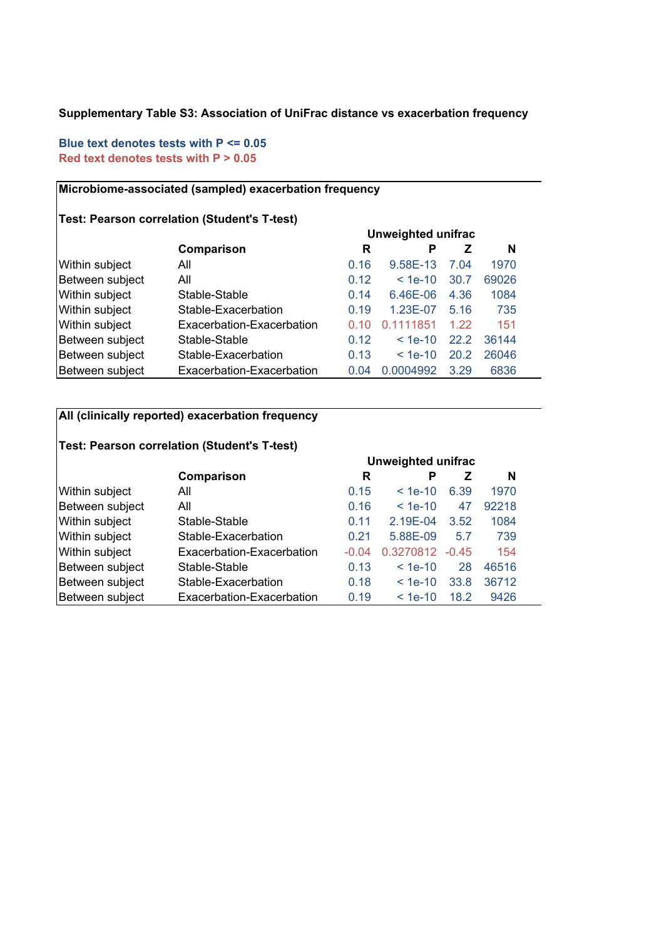#### **Supplementary Table S3: Association of UniFrac distance vs exacerbation frequency**

### **Blue text denotes tests with P <= 0.05 Red text denotes tests with P > 0.05**

#### **Microbiome-associated (sampled) exacerbation frequency**

### **Test: Pearson correlation (Student's T-test)**

|                 |                           | <b>Unweighted unifrac</b> |           |      |       |  |  |
|-----------------|---------------------------|---------------------------|-----------|------|-------|--|--|
|                 | Comparison                | R                         | Р         | z    | N     |  |  |
| Within subject  | All                       | 0.16                      | 9.58E-13  | 7.04 | 1970  |  |  |
| Between subject | All                       | 0.12                      | $< 1e-10$ | 30.7 | 69026 |  |  |
| Within subject  | Stable-Stable             | 0.14                      | 6.46E-06  | 4.36 | 1084  |  |  |
| Within subject  | Stable-Exacerbation       | 0.19                      | 1.23E-07  | 5.16 | 735   |  |  |
| Within subject  | Exacerbation-Exacerbation | 0.10                      | 0.1111851 | 1.22 | 151   |  |  |
| Between subject | Stable-Stable             | 0.12                      | $< 1e-10$ | 22.2 | 36144 |  |  |
| Between subject | Stable-Exacerbation       | 0.13                      | $< 1e-10$ | 20.2 | 26046 |  |  |
| Between subject | Exacerbation-Exacerbation | 0.04                      | 0.0004992 | 3.29 | 6836  |  |  |

### **All (clinically reported) exacerbation frequency**

# **Test: Pearson correlation (Student's T-test)**

|                 | <b>Unweighted unifrac</b> |         |           |         |       |  |  |
|-----------------|---------------------------|---------|-----------|---------|-------|--|--|
|                 | Comparison                | R       | Р         |         | N     |  |  |
| Within subject  | All                       | 0.15    | $< 1e-10$ | 6.39    | 1970  |  |  |
| Between subject | All                       | 0.16    | $< 1e-10$ | 47      | 92218 |  |  |
| Within subject  | Stable-Stable             | 0.11    | 2.19E-04  | 3.52    | 1084  |  |  |
| Within subject  | Stable-Exacerbation       | 0.21    | 5.88E-09  | 5.7     | 739   |  |  |
| Within subject  | Exacerbation-Exacerbation | $-0.04$ | 0.3270812 | $-0.45$ | 154   |  |  |
| Between subject | Stable-Stable             | 0.13    | $< 1e-10$ | 28      | 46516 |  |  |
| Between subject | Stable-Exacerbation       | 0.18    | $< 1e-10$ | 33.8    | 36712 |  |  |
| Between subject | Exacerbation-Exacerbation | 0.19    | $< 1e-10$ | 18.2    | 9426  |  |  |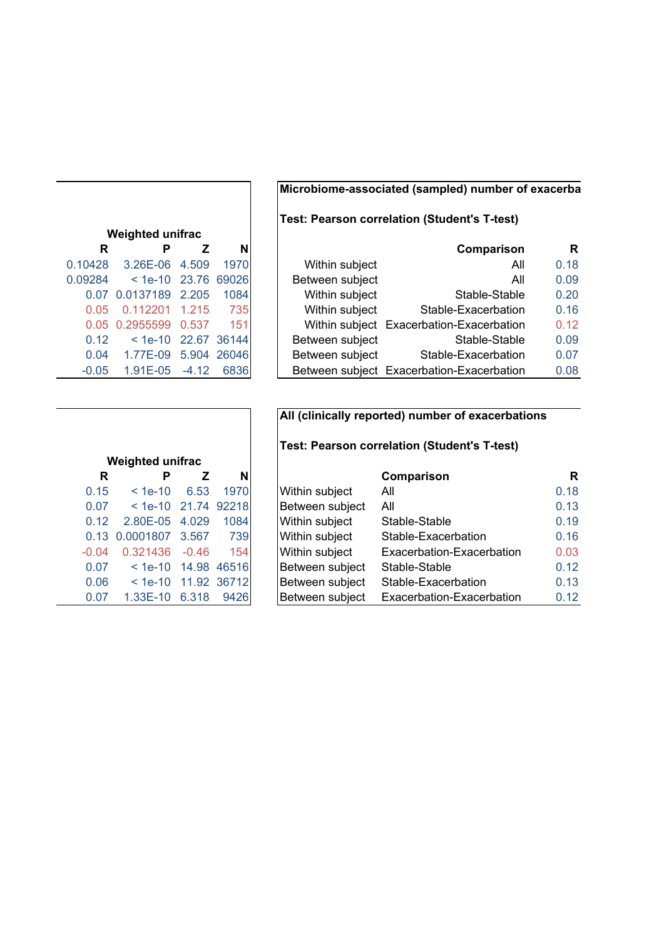## **Microbiome-associated (sampled) number of exacerba**

# **Test: Pearson correlation (Student's T-test)**

| Comparison                                |                 | N           |         | Р                     | R       |
|-------------------------------------------|-----------------|-------------|---------|-----------------------|---------|
| All                                       | Within subject  | 1970        | 4.509   | 3.26E-06              | 0.10428 |
| All                                       | Between subject |             |         | $<$ 1e-10 23.76 69026 | 0.09284 |
| Stable-Stable                             | Within subject  | 1084        | 2.205   | 0.07 0.0137189        |         |
| Stable-Exacerbation                       | Within subject  | 735         | 1.215   | 0.112201              | 0.05    |
| Within subject Exacerbation-Exacerbation  |                 | 151         | 0.537   | 0.05 0.2955599        |         |
| Stable-Stable                             | Between subject | 22.67 36144 |         | $< 1e-10$             | 0.12    |
| Stable-Exacerbation                       | Between subject | 5.904 26046 |         | 1.77E-09              | 0.04    |
| Between subject Exacerbation-Exacerbation |                 | 6836        | $-4.12$ | 1.91E-05              | $-0.05$ |

| <b>Weighted unifrac</b> |                       |       |             |  |  |  |  |  |  |
|-------------------------|-----------------------|-------|-------------|--|--|--|--|--|--|
| R                       | Р                     | z     | N           |  |  |  |  |  |  |
| 0.10428                 | 3.26E-06 4.509        |       | 1970        |  |  |  |  |  |  |
| 0.09284                 | $<$ 1e-10 23.76 69026 |       |             |  |  |  |  |  |  |
|                         | 0.07 0.0137189 2.205  |       | 1084        |  |  |  |  |  |  |
| 0.05                    | 0.112201 1.215        |       | 735         |  |  |  |  |  |  |
| 0.05                    | 0.2955599             | 0.537 | - 151       |  |  |  |  |  |  |
| 0.12                    | $< 1e-10$             |       | 22.67 36144 |  |  |  |  |  |  |
| 0.04                    | 1.77E-09              |       | 5.904 26046 |  |  |  |  |  |  |
| $-0.05$                 | 1.91E-05 -4.12 6836   |       |             |  |  |  |  |  |  |

|         | <b>Weighted unifrac</b> |             |             |  |
|---------|-------------------------|-------------|-------------|--|
| R       | Р                       | Ζ           | N           |  |
| 0.15    | $< 1e-10$               | 6.53        | 1970        |  |
| 0.07    | $< 1e-10$               | 21.74 92218 |             |  |
| 0.12    | 2.80E-05                | 4.029       | 1084        |  |
| 0.13    | 0.0001807               | 3.567       | 739         |  |
| $-0.04$ | 0.321436                | $-0.46$     | 154         |  |
| 0.07    | $< 1e-10$               |             | 14.98 46516 |  |
| 0.06    | $<$ 1e-10 $<$           |             | 11.92 36712 |  |
| 0.07    | 1.33E-10                | 6.318       | 9426        |  |

# **All (clinically reported) number of exacerbations**

### **Test: Pearson correlation (Student's T-test)**

| R       | Р                     |         | Nl   |                       | Comparison                | R    |
|---------|-----------------------|---------|------|-----------------------|---------------------------|------|
| 0.15    | $< 1e-10$             | 6.53    | 1970 | <b>Within subject</b> | All                       | 0.18 |
| 0.07    | $<$ 1e-10 21.74 92218 |         |      | Between subject       | All                       | 0.13 |
| 0.12    | 2.80E-05 4.029        |         | 1084 | Within subject        | Stable-Stable             | 0.19 |
|         | 0.13 0.0001807 3.567  |         | 739  | Within subject        | Stable-Exacerbation       | 0.16 |
| $-0.04$ | 0.321436              | $-0.46$ | 154  | Within subject        | Exacerbation-Exacerbation | 0.03 |
| 0.07    | $<$ 1e-10 14.98 46516 |         |      | Between subject       | Stable-Stable             | 0.12 |
| 0.06    | $<$ 1e-10 11.92 36712 |         |      | Between subject       | Stable-Exacerbation       | 0.13 |
| 0.07    | 1.33E-10              | 6.318   | 9426 | Between subject       | Exacerbation-Exacerbation | 0.12 |